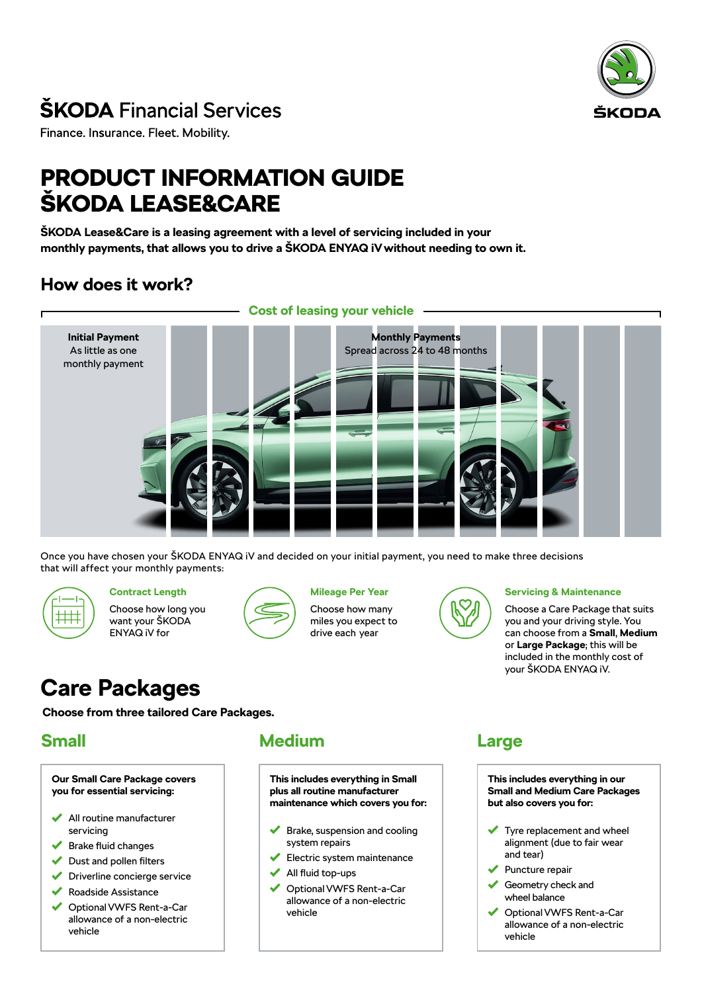

# **ŠKODA** Financial Services

Finance. Insurance. Fleet. Mobility.

# PRODUCT INFORMATION GUIDE ŠKODA LEASE&CARE

**ŠKODA Lease&Care is a leasing agreement with a level of servicing included in your monthly payments, that allows you to drive a ŠKODA ENYAQ iV without needing to own it.**

# **How does it work?**



Once you have chosen your ŠKODA ENYAQ iV and decided on your initial payment, you need to make three decisions that will affect your monthly payments:



## **Contract Length**

Choose how long you want your ŠKODA ENYAQ iV for



## **Mileage Per Year**

Choose how many miles you expect to drive each year



#### **Servicing & Maintenance**

Choose a Care Package that suits you and your driving style. You can choose from a **Small**, **Medium** or **Large Package**; this will be included in the monthly cost of your ŠKODA ENYAQ iV.

# **Care Packages**

**Choose from three tailored Care Packages.**

# **Small**

**Our Small Care Package covers you for essential servicing:**

- All routine manufacturer servicing
- Brake fluid changes
- Dust and pollen filters ✔
- Driverline concierge service
- Roadside Assistance
- Optional VWFS Rent-a-Car allowance of a non-electric vehicle

# **Medium**

**This includes everything in Small plus all routine manufacturer maintenance which covers you for:**

- Brake, suspension and cooling system repairs
- Electric system maintenance
- All fluid top-ups
- ◆ Optional VWFS Rent-a-Car allowance of a non-electric vehicle

# **Large**

**This includes everything in our Small and Medium Care Packages but also covers you for:**

- Tyre replacement and wheel alignment (due to fair wear and tear)
- Puncture repair
- Geometry check and wheel balance
- Optional VWFS Rent-a-Car allowance of a non-electric vehicle